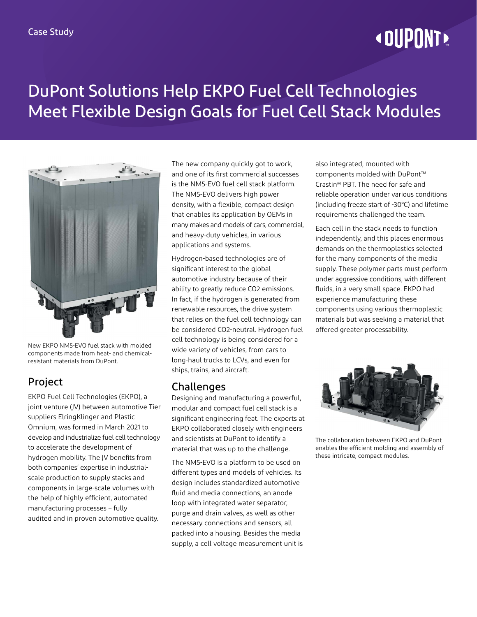# **« DUPONT!**

## DuPont Solutions Help EKPO Fuel Cell Technologies Meet Flexible Design Goals for Fuel Cell Stack Modules



New EKPO NM5-EVO fuel stack with molded components made from heat- and chemicalresistant materials from DuPont.

### Project

EKPO Fuel Cell Technologies (EKPO), a joint venture (JV) between automotive Tier suppliers ElringKlinger and Plastic Omnium, was formed in March 2021 to develop and industrialize fuel cell technology to accelerate the development of hydrogen mobility. The JV benefits from both companies' expertise in industrialscale production to supply stacks and components in large-scale volumes with the help of highly efficient, automated manufacturing processes – fully audited and in proven automotive quality.

The new company quickly got to work, and one of its first commercial successes is the NM5-EVO fuel cell stack platform. The NM5-EVO delivers high power density, with a flexible, compact design that enables its application by OEMs in many makes and models of cars, commercial, and heavy-duty vehicles, in various applications and systems.

Hydrogen-based technologies are of significant interest to the global automotive industry because of their ability to greatly reduce CO2 emissions. In fact, if the hydrogen is generated from renewable resources, the drive system that relies on the fuel cell technology can be considered CO2-neutral. Hydrogen fuel cell technology is being considered for a wide variety of vehicles, from cars to long-haul trucks to LCVs, and even for ships, trains, and aircraft.

#### Challenges

Designing and manufacturing a powerful, modular and compact fuel cell stack is a significant engineering feat. The experts at EKPO collaborated closely with engineers and scientists at DuPont to identify a material that was up to the challenge.

The NM5-EVO is a platform to be used on different types and models of vehicles. Its design includes standardized automotive fluid and media connections, an anode loop with integrated water separator, purge and drain valves, as well as other necessary connections and sensors, all packed into a housing. Besides the media supply, a cell voltage measurement unit is also integrated, mounted with components molded with DuPont™ Crastin® PBT. The need for safe and reliable operation under various conditions (including freeze start of -30°C) and lifetime requirements challenged the team.

Each cell in the stack needs to function independently, and this places enormous demands on the thermoplastics selected for the many components of the media supply. These polymer parts must perform under aggressive conditions, with different fluids, in a very small space. EKPO had experience manufacturing these components using various thermoplastic materials but was seeking a material that offered greater processability.



The collaboration between EKPO and DuPont enables the efficient molding and assembly of these intricate, compact modules.